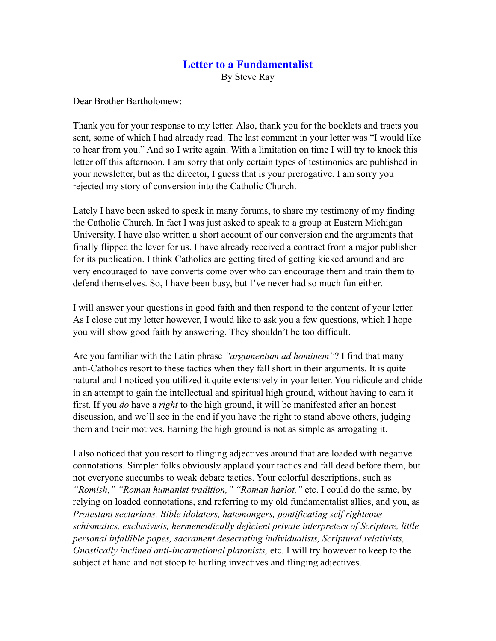## **Letter to a Fundamentalist**

By Steve Ray

Dear Brother Bartholomew:

Thank you for your response to my letter. Also, thank you for the booklets and tracts you sent, some of which I had already read. The last comment in your letter was "I would like to hear from you." And so I write again. With a limitation on time I will try to knock this letter off this afternoon. I am sorry that only certain types of testimonies are published in your newsletter, but as the director, I guess that is your prerogative. I am sorry you rejected my story of conversion into the Catholic Church.

Lately I have been asked to speak in many forums, to share my testimony of my finding the Catholic Church. In fact I was just asked to speak to a group at Eastern Michigan University. I have also written a short account of our conversion and the arguments that finally flipped the lever for us. I have already received a contract from a major publisher for its publication. I think Catholics are getting tired of getting kicked around and are very encouraged to have converts come over who can encourage them and train them to defend themselves. So, I have been busy, but I've never had so much fun either.

I will answer your questions in good faith and then respond to the content of your letter. As I close out my letter however, I would like to ask you a few questions, which I hope you will show good faith by answering. They shouldn't be too difficult.

Are you familiar with the Latin phrase *"argumentum ad hominem"*? I find that many anti-Catholics resort to these tactics when they fall short in their arguments. It is quite natural and I noticed you utilized it quite extensively in your letter. You ridicule and chide in an attempt to gain the intellectual and spiritual high ground, without having to earn it first. If you *do* have a *right* to the high ground, it will be manifested after an honest discussion, and we'll see in the end if you have the right to stand above others, judging them and their motives. Earning the high ground is not as simple as arrogating it.

I also noticed that you resort to flinging adjectives around that are loaded with negative connotations. Simpler folks obviously applaud your tactics and fall dead before them, but not everyone succumbs to weak debate tactics. Your colorful descriptions, such as *"Romish," "Roman humanist tradition," "Roman harlot,"* etc. I could do the same, by relying on loaded connotations, and referring to my old fundamentalist allies, and you, as *Protestant sectarians, Bible idolaters, hatemongers, pontificating self righteous schismatics, exclusivists, hermeneutically deficient private interpreters of Scripture, little personal infallible popes, sacrament desecrating individualists, Scriptural relativists, Gnostically inclined anti-incarnational platonists,* etc. I will try however to keep to the subject at hand and not stoop to hurling invectives and flinging adjectives.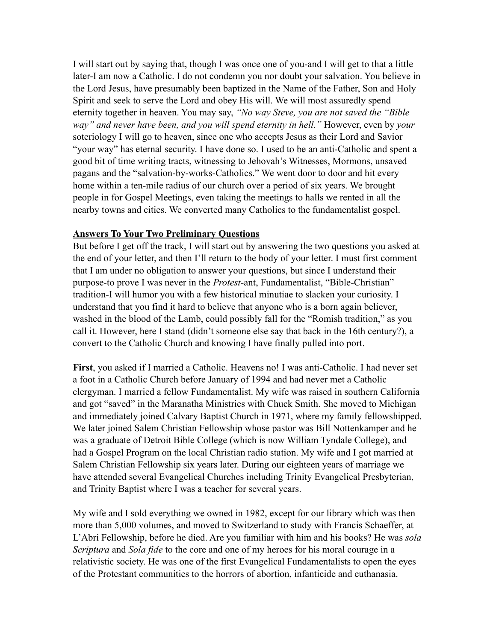I will start out by saying that, though I was once one of you-and I will get to that a little later-I am now a Catholic. I do not condemn you nor doubt your salvation. You believe in the Lord Jesus, have presumably been baptized in the Name of the Father, Son and Holy Spirit and seek to serve the Lord and obey His will. We will most assuredly spend eternity together in heaven. You may say, *"No way Steve, you are not saved the "Bible way" and never have been, and you will spend eternity in hell."* However, even by *your* soteriology I will go to heaven, since one who accepts Jesus as their Lord and Savior "your way" has eternal security. I have done so. I used to be an anti-Catholic and spent a good bit of time writing tracts, witnessing to Jehovah's Witnesses, Mormons, unsaved pagans and the "salvation-by-works-Catholics." We went door to door and hit every home within a ten-mile radius of our church over a period of six years. We brought people in for Gospel Meetings, even taking the meetings to halls we rented in all the nearby towns and cities. We converted many Catholics to the fundamentalist gospel.

#### **Answers To Your Two Preliminary Questions**

But before I get off the track, I will start out by answering the two questions you asked at the end of your letter, and then I'll return to the body of your letter. I must first comment that I am under no obligation to answer your questions, but since I understand their purpose-to prove I was never in the *Protest*-ant, Fundamentalist, "Bible-Christian" tradition-I will humor you with a few historical minutiae to slacken your curiosity. I understand that you find it hard to believe that anyone who is a born again believer, washed in the blood of the Lamb, could possibly fall for the "Romish tradition," as you call it. However, here I stand (didn't someone else say that back in the 16th century?), a convert to the Catholic Church and knowing I have finally pulled into port.

**First**, you asked if I married a Catholic. Heavens no! I was anti-Catholic. I had never set a foot in a Catholic Church before January of 1994 and had never met a Catholic clergyman. I married a fellow Fundamentalist. My wife was raised in southern California and got "saved" in the Maranatha Ministries with Chuck Smith. She moved to Michigan and immediately joined Calvary Baptist Church in 1971, where my family fellowshipped. We later joined Salem Christian Fellowship whose pastor was Bill Nottenkamper and he was a graduate of Detroit Bible College (which is now William Tyndale College), and had a Gospel Program on the local Christian radio station. My wife and I got married at Salem Christian Fellowship six years later. During our eighteen years of marriage we have attended several Evangelical Churches including Trinity Evangelical Presbyterian, and Trinity Baptist where I was a teacher for several years.

My wife and I sold everything we owned in 1982, except for our library which was then more than 5,000 volumes, and moved to Switzerland to study with Francis Schaeffer, at L'Abri Fellowship, before he died. Are you familiar with him and his books? He was *sola Scriptura* and *Sola fide* to the core and one of my heroes for his moral courage in a relativistic society. He was one of the first Evangelical Fundamentalists to open the eyes of the Protestant communities to the horrors of abortion, infanticide and euthanasia.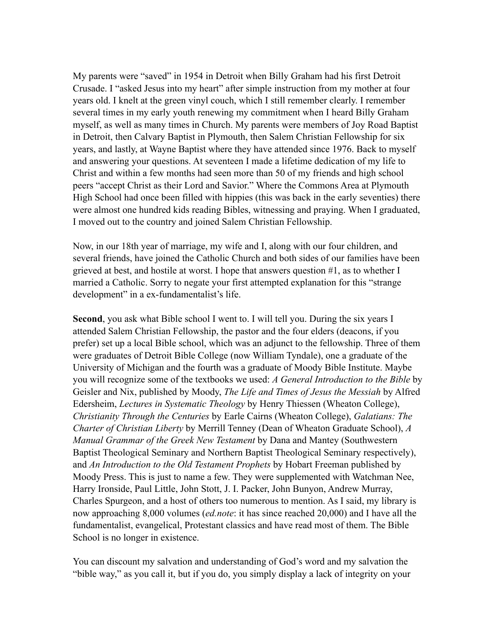My parents were "saved" in 1954 in Detroit when Billy Graham had his first Detroit Crusade. I "asked Jesus into my heart" after simple instruction from my mother at four years old. I knelt at the green vinyl couch, which I still remember clearly. I remember several times in my early youth renewing my commitment when I heard Billy Graham myself, as well as many times in Church. My parents were members of Joy Road Baptist in Detroit, then Calvary Baptist in Plymouth, then Salem Christian Fellowship for six years, and lastly, at Wayne Baptist where they have attended since 1976. Back to myself and answering your questions. At seventeen I made a lifetime dedication of my life to Christ and within a few months had seen more than 50 of my friends and high school peers "accept Christ as their Lord and Savior." Where the Commons Area at Plymouth High School had once been filled with hippies (this was back in the early seventies) there were almost one hundred kids reading Bibles, witnessing and praying. When I graduated, I moved out to the country and joined Salem Christian Fellowship.

Now, in our 18th year of marriage, my wife and I, along with our four children, and several friends, have joined the Catholic Church and both sides of our families have been grieved at best, and hostile at worst. I hope that answers question #1, as to whether I married a Catholic. Sorry to negate your first attempted explanation for this "strange development" in a ex-fundamentalist's life.

**Second**, you ask what Bible school I went to. I will tell you. During the six years I attended Salem Christian Fellowship, the pastor and the four elders (deacons, if you prefer) set up a local Bible school, which was an adjunct to the fellowship. Three of them were graduates of Detroit Bible College (now William Tyndale), one a graduate of the University of Michigan and the fourth was a graduate of Moody Bible Institute. Maybe you will recognize some of the textbooks we used: *A General Introduction to the Bible* by Geisler and Nix, published by Moody, *The Life and Times of Jesus the Messiah* by Alfred Edersheim, *Lectures in Systematic Theology* by Henry Thiessen (Wheaton College), *Christianity Through the Centuries* by Earle Cairns (Wheaton College), *Galatians: The Charter of Christian Liberty* by Merrill Tenney (Dean of Wheaton Graduate School), *A Manual Grammar of the Greek New Testament* by Dana and Mantey (Southwestern Baptist Theological Seminary and Northern Baptist Theological Seminary respectively), and *An Introduction to the Old Testament Prophets* by Hobart Freeman published by Moody Press. This is just to name a few. They were supplemented with Watchman Nee, Harry Ironside, Paul Little, John Stott, J. I. Packer, John Bunyon, Andrew Murray, Charles Spurgeon, and a host of others too numerous to mention. As I said, my library is now approaching 8,000 volumes (*ed.note*: it has since reached 20,000) and I have all the fundamentalist, evangelical, Protestant classics and have read most of them. The Bible School is no longer in existence.

You can discount my salvation and understanding of God's word and my salvation the "bible way," as you call it, but if you do, you simply display a lack of integrity on your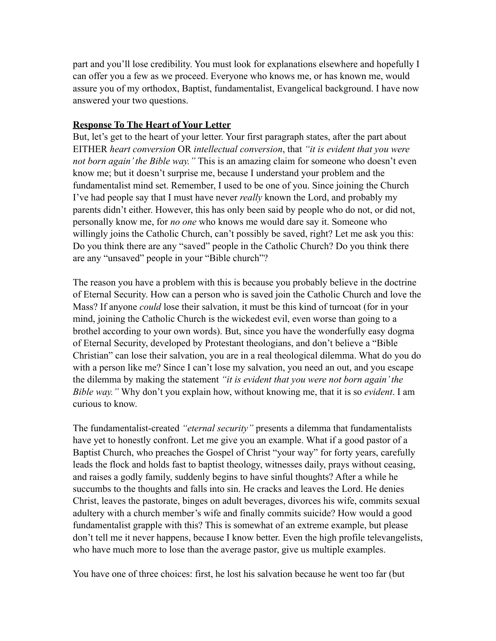part and you'll lose credibility. You must look for explanations elsewhere and hopefully I can offer you a few as we proceed. Everyone who knows me, or has known me, would assure you of my orthodox, Baptist, fundamentalist, Evangelical background. I have now answered your two questions.

### **Response To The Heart of Your Letter**

But, let's get to the heart of your letter. Your first paragraph states, after the part about EITHER *heart conversion* OR *intellectual conversion*, that *"it is evident that you were not born again' the Bible way."* This is an amazing claim for someone who doesn't even know me; but it doesn't surprise me, because I understand your problem and the fundamentalist mind set. Remember, I used to be one of you. Since joining the Church I've had people say that I must have never *really* known the Lord, and probably my parents didn't either. However, this has only been said by people who do not, or did not, personally know me, for *no one* who knows me would dare say it. Someone who willingly joins the Catholic Church, can't possibly be saved, right? Let me ask you this: Do you think there are any "saved" people in the Catholic Church? Do you think there are any "unsaved" people in your "Bible church"?

The reason you have a problem with this is because you probably believe in the doctrine of Eternal Security. How can a person who is saved join the Catholic Church and love the Mass? If anyone *could* lose their salvation, it must be this kind of turncoat (for in your mind, joining the Catholic Church is the wickedest evil, even worse than going to a brothel according to your own words). But, since you have the wonderfully easy dogma of Eternal Security, developed by Protestant theologians, and don't believe a "Bible Christian" can lose their salvation, you are in a real theological dilemma. What do you do with a person like me? Since I can't lose my salvation, you need an out, and you escape the dilemma by making the statement *"it is evident that you were not born again' the Bible way."* Why don't you explain how, without knowing me, that it is so *evident*. I am curious to know.

The fundamentalist-created *"eternal security"* presents a dilemma that fundamentalists have yet to honestly confront. Let me give you an example. What if a good pastor of a Baptist Church, who preaches the Gospel of Christ "your way" for forty years, carefully leads the flock and holds fast to baptist theology, witnesses daily, prays without ceasing, and raises a godly family, suddenly begins to have sinful thoughts? After a while he succumbs to the thoughts and falls into sin. He cracks and leaves the Lord. He denies Christ, leaves the pastorate, binges on adult beverages, divorces his wife, commits sexual adultery with a church member's wife and finally commits suicide? How would a good fundamentalist grapple with this? This is somewhat of an extreme example, but please don't tell me it never happens, because I know better. Even the high profile televangelists, who have much more to lose than the average pastor, give us multiple examples.

You have one of three choices: first, he lost his salvation because he went too far (but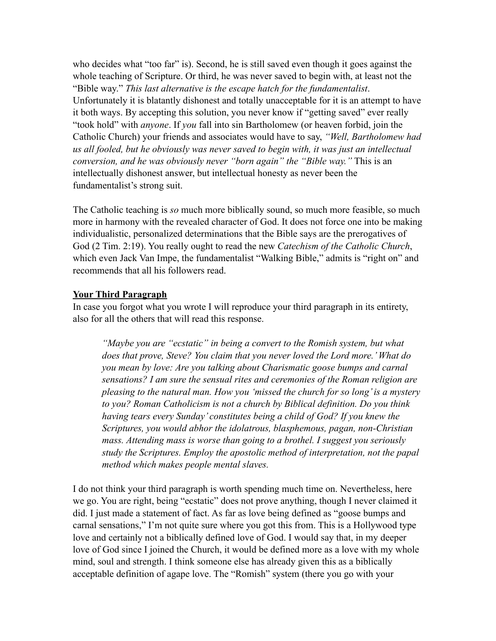who decides what "too far" is). Second, he is still saved even though it goes against the whole teaching of Scripture. Or third, he was never saved to begin with, at least not the "Bible way." *This last alternative is the escape hatch for the fundamentalist*. Unfortunately it is blatantly dishonest and totally unacceptable for it is an attempt to have it both ways. By accepting this solution, you never know if "getting saved" ever really "took hold" with *anyone*. If *you* fall into sin Bartholomew (or heaven forbid, join the Catholic Church) your friends and associates would have to say, *"Well, Bartholomew had us all fooled, but he obviously was never saved to begin with, it was just an intellectual conversion, and he was obviously never "born again" the "Bible way."* This is an intellectually dishonest answer, but intellectual honesty as never been the fundamentalist's strong suit.

The Catholic teaching is *so* much more biblically sound, so much more feasible, so much more in harmony with the revealed character of God. It does not force one into be making individualistic, personalized determinations that the Bible says are the prerogatives of God (2 Tim. 2:19). You really ought to read the new *Catechism of the Catholic Church*, which even Jack Van Impe, the fundamentalist "Walking Bible," admits is "right on" and recommends that all his followers read.

#### **Your Third Paragraph**

In case you forgot what you wrote I will reproduce your third paragraph in its entirety, also for all the others that will read this response.

*"Maybe you are "ecstatic" in being a convert to the Romish system, but what does that prove, Steve? You claim that you never loved the Lord more.' What do you mean by love: Are you talking about Charismatic goose bumps and carnal sensations? I am sure the sensual rites and ceremonies of the Roman religion are pleasing to the natural man. How you 'missed the church for so long' is a mystery to you? Roman Catholicism is not a church by Biblical definition. Do you think having tears every Sunday' constitutes being a child of God? If you knew the Scriptures, you would abhor the idolatrous, blasphemous, pagan, non-Christian mass. Attending mass is worse than going to a brothel. I suggest you seriously study the Scriptures. Employ the apostolic method of interpretation, not the papal method which makes people mental slaves.*

I do not think your third paragraph is worth spending much time on. Nevertheless, here we go. You are right, being "ecstatic" does not prove anything, though I never claimed it did. I just made a statement of fact. As far as love being defined as "goose bumps and carnal sensations," I'm not quite sure where you got this from. This is a Hollywood type love and certainly not a biblically defined love of God. I would say that, in my deeper love of God since I joined the Church, it would be defined more as a love with my whole mind, soul and strength. I think someone else has already given this as a biblically acceptable definition of agape love. The "Romish" system (there you go with your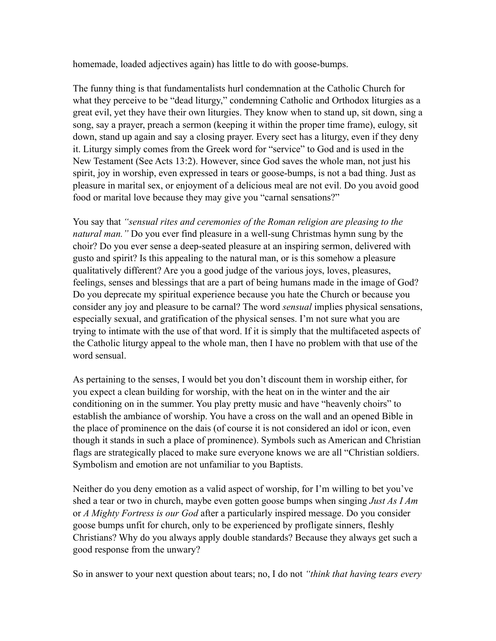homemade, loaded adjectives again) has little to do with goose-bumps.

The funny thing is that fundamentalists hurl condemnation at the Catholic Church for what they perceive to be "dead liturgy," condemning Catholic and Orthodox liturgies as a great evil, yet they have their own liturgies. They know when to stand up, sit down, sing a song, say a prayer, preach a sermon (keeping it within the proper time frame), eulogy, sit down, stand up again and say a closing prayer. Every sect has a liturgy, even if they deny it. Liturgy simply comes from the Greek word for "service" to God and is used in the New Testament (See Acts 13:2). However, since God saves the whole man, not just his spirit, joy in worship, even expressed in tears or goose-bumps, is not a bad thing. Just as pleasure in marital sex, or enjoyment of a delicious meal are not evil. Do you avoid good food or marital love because they may give you "carnal sensations?"

You say that *"sensual rites and ceremonies of the Roman religion are pleasing to the natural man."* Do you ever find pleasure in a well-sung Christmas hymn sung by the choir? Do you ever sense a deep-seated pleasure at an inspiring sermon, delivered with gusto and spirit? Is this appealing to the natural man, or is this somehow a pleasure qualitatively different? Are you a good judge of the various joys, loves, pleasures, feelings, senses and blessings that are a part of being humans made in the image of God? Do you deprecate my spiritual experience because you hate the Church or because you consider any joy and pleasure to be carnal? The word *sensual* implies physical sensations, especially sexual, and gratification of the physical senses. I'm not sure what you are trying to intimate with the use of that word. If it is simply that the multifaceted aspects of the Catholic liturgy appeal to the whole man, then I have no problem with that use of the word sensual.

As pertaining to the senses, I would bet you don't discount them in worship either, for you expect a clean building for worship, with the heat on in the winter and the air conditioning on in the summer. You play pretty music and have "heavenly choirs" to establish the ambiance of worship. You have a cross on the wall and an opened Bible in the place of prominence on the dais (of course it is not considered an idol or icon, even though it stands in such a place of prominence). Symbols such as American and Christian flags are strategically placed to make sure everyone knows we are all "Christian soldiers. Symbolism and emotion are not unfamiliar to you Baptists.

Neither do you deny emotion as a valid aspect of worship, for I'm willing to bet you've shed a tear or two in church, maybe even gotten goose bumps when singing *Just As I Am* or *A Mighty Fortress is our God* after a particularly inspired message. Do you consider goose bumps unfit for church, only to be experienced by profligate sinners, fleshly Christians? Why do you always apply double standards? Because they always get such a good response from the unwary?

So in answer to your next question about tears; no, I do not *"think that having tears every*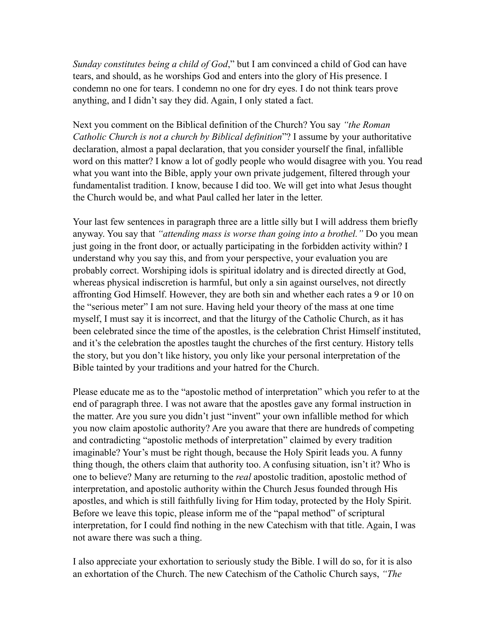*Sunday constitutes being a child of God*," but I am convinced a child of God can have tears, and should, as he worships God and enters into the glory of His presence. I condemn no one for tears. I condemn no one for dry eyes. I do not think tears prove anything, and I didn't say they did. Again, I only stated a fact.

Next you comment on the Biblical definition of the Church? You say *"the Roman Catholic Church is not a church by Biblical definition*"? I assume by your authoritative declaration, almost a papal declaration, that you consider yourself the final, infallible word on this matter? I know a lot of godly people who would disagree with you. You read what you want into the Bible, apply your own private judgement, filtered through your fundamentalist tradition. I know, because I did too. We will get into what Jesus thought the Church would be, and what Paul called her later in the letter.

Your last few sentences in paragraph three are a little silly but I will address them briefly anyway. You say that *"attending mass is worse than going into a brothel."* Do you mean just going in the front door, or actually participating in the forbidden activity within? I understand why you say this, and from your perspective, your evaluation you are probably correct. Worshiping idols is spiritual idolatry and is directed directly at God, whereas physical indiscretion is harmful, but only a sin against ourselves, not directly affronting God Himself. However, they are both sin and whether each rates a 9 or 10 on the "serious meter" I am not sure. Having held your theory of the mass at one time myself, I must say it is incorrect, and that the liturgy of the Catholic Church, as it has been celebrated since the time of the apostles, is the celebration Christ Himself instituted, and it's the celebration the apostles taught the churches of the first century. History tells the story, but you don't like history, you only like your personal interpretation of the Bible tainted by your traditions and your hatred for the Church.

Please educate me as to the "apostolic method of interpretation" which you refer to at the end of paragraph three. I was not aware that the apostles gave any formal instruction in the matter. Are you sure you didn't just "invent" your own infallible method for which you now claim apostolic authority? Are you aware that there are hundreds of competing and contradicting "apostolic methods of interpretation" claimed by every tradition imaginable? Your's must be right though, because the Holy Spirit leads you. A funny thing though, the others claim that authority too. A confusing situation, isn't it? Who is one to believe? Many are returning to the *real* apostolic tradition, apostolic method of interpretation, and apostolic authority within the Church Jesus founded through His apostles, and which is still faithfully living for Him today, protected by the Holy Spirit. Before we leave this topic, please inform me of the "papal method" of scriptural interpretation, for I could find nothing in the new Catechism with that title. Again, I was not aware there was such a thing.

I also appreciate your exhortation to seriously study the Bible. I will do so, for it is also an exhortation of the Church. The new Catechism of the Catholic Church says, *"The*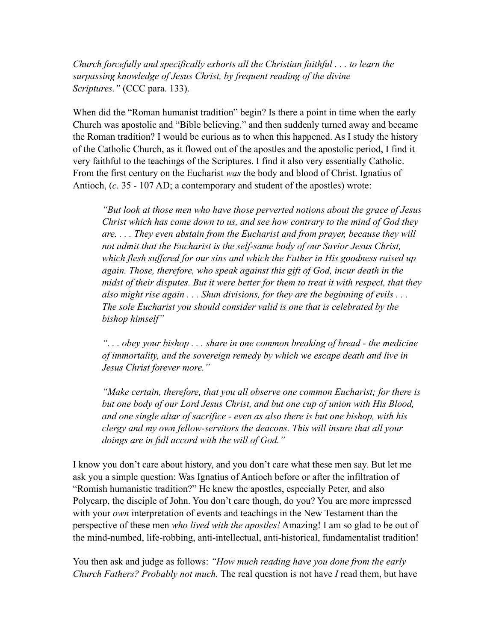*Church forcefully and specifically exhorts all the Christian faithful . . . to learn the surpassing knowledge of Jesus Christ, by frequent reading of the divine Scriptures."* (CCC para. 133).

When did the "Roman humanist tradition" begin? Is there a point in time when the early Church was apostolic and "Bible believing," and then suddenly turned away and became the Roman tradition? I would be curious as to when this happened. As I study the history of the Catholic Church, as it flowed out of the apostles and the apostolic period, I find it very faithful to the teachings of the Scriptures. I find it also very essentially Catholic. From the first century on the Eucharist *was* the body and blood of Christ. Ignatius of Antioch, (*c*. 35 - 107 AD; a contemporary and student of the apostles) wrote:

*"But look at those men who have those perverted notions about the grace of Jesus Christ which has come down to us, and see how contrary to the mind of God they are. . . . They even abstain from the Eucharist and from prayer, because they will not admit that the Eucharist is the self-same body of our Savior Jesus Christ, which flesh suffered for our sins and which the Father in His goodness raised up again. Those, therefore, who speak against this gift of God, incur death in the midst of their disputes. But it were better for them to treat it with respect, that they also might rise again . . . Shun divisions, for they are the beginning of evils . . . The sole Eucharist you should consider valid is one that is celebrated by the bishop himself"* 

*". . . obey your bishop . . . share in one common breaking of bread - the medicine of immortality, and the sovereign remedy by which we escape death and live in Jesus Christ forever more."* 

*"Make certain, therefore, that you all observe one common Eucharist; for there is but one body of our Lord Jesus Christ, and but one cup of union with His Blood, and one single altar of sacrifice - even as also there is but one bishop, with his clergy and my own fellow-servitors the deacons. This will insure that all your doings are in full accord with the will of God."*

I know you don't care about history, and you don't care what these men say. But let me ask you a simple question: Was Ignatius of Antioch before or after the infiltration of "Romish humanistic tradition?" He knew the apostles, especially Peter, and also Polycarp, the disciple of John. You don't care though, do you? You are more impressed with your *own* interpretation of events and teachings in the New Testament than the perspective of these men *who lived with the apostles!* Amazing! I am so glad to be out of the mind-numbed, life-robbing, anti-intellectual, anti-historical, fundamentalist tradition!

You then ask and judge as follows: *"How much reading have you done from the early Church Fathers? Probably not much.* The real question is not have *I* read them, but have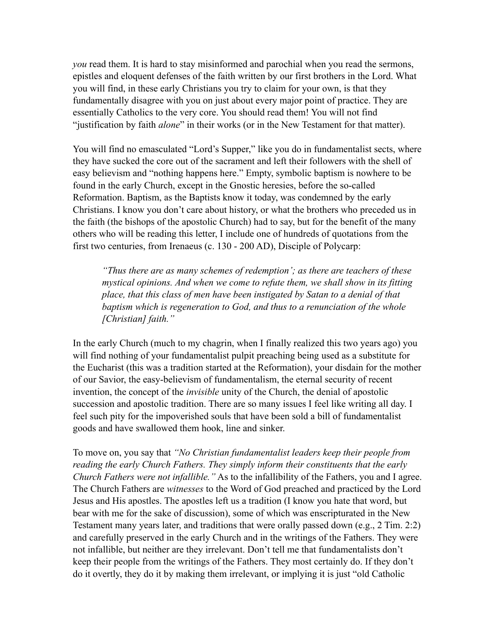*you* read them. It is hard to stay misinformed and parochial when you read the sermons, epistles and eloquent defenses of the faith written by our first brothers in the Lord. What you will find, in these early Christians you try to claim for your own, is that they fundamentally disagree with you on just about every major point of practice. They are essentially Catholics to the very core. You should read them! You will not find "justification by faith *alone*" in their works (or in the New Testament for that matter).

You will find no emasculated "Lord's Supper," like you do in fundamentalist sects, where they have sucked the core out of the sacrament and left their followers with the shell of easy believism and "nothing happens here." Empty, symbolic baptism is nowhere to be found in the early Church, except in the Gnostic heresies, before the so-called Reformation. Baptism, as the Baptists know it today, was condemned by the early Christians. I know you don't care about history, or what the brothers who preceded us in the faith (the bishops of the apostolic Church) had to say, but for the benefit of the many others who will be reading this letter, I include one of hundreds of quotations from the first two centuries, from Irenaeus (c. 130 - 200 AD), Disciple of Polycarp:

*"Thus there are as many schemes of redemption'; as there are teachers of these mystical opinions. And when we come to refute them, we shall show in its fitting place, that this class of men have been instigated by Satan to a denial of that baptism which is regeneration to God, and thus to a renunciation of the whole [Christian] faith."*

In the early Church (much to my chagrin, when I finally realized this two years ago) you will find nothing of your fundamentalist pulpit preaching being used as a substitute for the Eucharist (this was a tradition started at the Reformation), your disdain for the mother of our Savior, the easy-believism of fundamentalism, the eternal security of recent invention, the concept of the *invisible* unity of the Church, the denial of apostolic succession and apostolic tradition. There are so many issues I feel like writing all day. I feel such pity for the impoverished souls that have been sold a bill of fundamentalist goods and have swallowed them hook, line and sinker.

To move on, you say that *"No Christian fundamentalist leaders keep their people from reading the early Church Fathers. They simply inform their constituents that the early Church Fathers were not infallible."* As to the infallibility of the Fathers, you and I agree. The Church Fathers are *witnesses* to the Word of God preached and practiced by the Lord Jesus and His apostles. The apostles left us a tradition (I know you hate that word, but bear with me for the sake of discussion), some of which was enscripturated in the New Testament many years later, and traditions that were orally passed down (e.g., 2 Tim. 2:2) and carefully preserved in the early Church and in the writings of the Fathers. They were not infallible, but neither are they irrelevant. Don't tell me that fundamentalists don't keep their people from the writings of the Fathers. They most certainly do. If they don't do it overtly, they do it by making them irrelevant, or implying it is just "old Catholic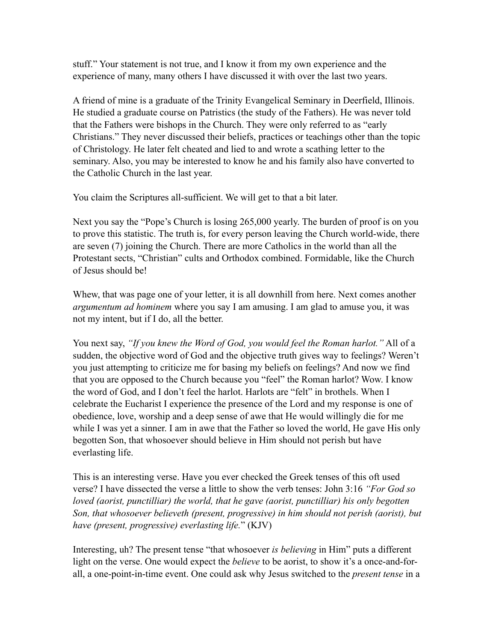stuff." Your statement is not true, and I know it from my own experience and the experience of many, many others I have discussed it with over the last two years.

A friend of mine is a graduate of the Trinity Evangelical Seminary in Deerfield, Illinois. He studied a graduate course on Patristics (the study of the Fathers). He was never told that the Fathers were bishops in the Church. They were only referred to as "early Christians." They never discussed their beliefs, practices or teachings other than the topic of Christology. He later felt cheated and lied to and wrote a scathing letter to the seminary. Also, you may be interested to know he and his family also have converted to the Catholic Church in the last year.

You claim the Scriptures all-sufficient. We will get to that a bit later.

Next you say the "Pope's Church is losing 265,000 yearly. The burden of proof is on you to prove this statistic. The truth is, for every person leaving the Church world-wide, there are seven (7) joining the Church. There are more Catholics in the world than all the Protestant sects, "Christian" cults and Orthodox combined. Formidable, like the Church of Jesus should be!

Whew, that was page one of your letter, it is all downhill from here. Next comes another *argumentum ad hominem* where you say I am amusing. I am glad to amuse you, it was not my intent, but if I do, all the better.

You next say, *"If you knew the Word of God, you would feel the Roman harlot."* All of a sudden, the objective word of God and the objective truth gives way to feelings? Weren't you just attempting to criticize me for basing my beliefs on feelings? And now we find that you are opposed to the Church because you "feel" the Roman harlot? Wow. I know the word of God, and I don't feel the harlot. Harlots are "felt" in brothels. When I celebrate the Eucharist I experience the presence of the Lord and my response is one of obedience, love, worship and a deep sense of awe that He would willingly die for me while I was yet a sinner. I am in awe that the Father so loved the world, He gave His only begotten Son, that whosoever should believe in Him should not perish but have everlasting life.

This is an interesting verse. Have you ever checked the Greek tenses of this oft used verse? I have dissected the verse a little to show the verb tenses: John 3:16 *"For God so loved (aorist, punctilliar) the world, that he gave (aorist, punctilliar) his only begotten Son, that whosoever believeth (present, progressive) in him should not perish (aorist), but have (present, progressive) everlasting life.*" (KJV)

Interesting, uh? The present tense "that whosoever *is believing* in Him" puts a different light on the verse. One would expect the *believe* to be aorist, to show it's a once-and-forall, a one-point-in-time event. One could ask why Jesus switched to the *present tense* in a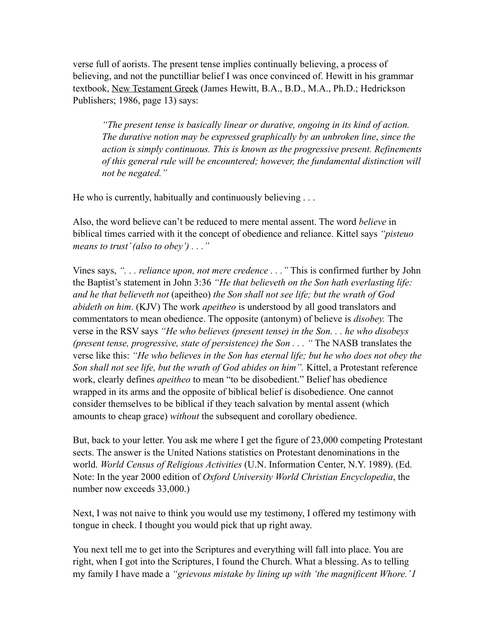verse full of aorists. The present tense implies continually believing, a process of believing, and not the punctilliar belief I was once convinced of. Hewitt in his grammar textbook, New Testament Greek (James Hewitt, B.A., B.D., M.A., Ph.D.; Hedrickson Publishers; 1986, page 13) says:

*"The present tense is basically linear or durative, ongoing in its kind of action. The durative notion may be expressed graphically by an unbroken line*, *since the action is simply continuous. This is known as the progressive present. Refinements of this general rule will be encountered; however, the fundamental distinction will not be negated."* 

He who is currently, habitually and continuously believing . . .

Also, the word believe can't be reduced to mere mental assent. The word *believe* in biblical times carried with it the concept of obedience and reliance. Kittel says *"pisteuo means to trust' (also to obey') . . ."*

Vines says, *". . . reliance upon, not mere credence . . ."* This is confirmed further by John the Baptist's statement in John 3:36 *"He that believeth on the Son hath everlasting life: and he that believeth not* (apeitheo) *the Son shall not see life; but the wrath of God abideth on him*. (KJV) The work *apeitheo* is understood by all good translators and commentators to mean obedience. The opposite (antonym) of believe is *disobey.* The verse in the RSV says *"He who believes (present tense) in the Son. . . he who disobeys (present tense, progressive, state of persistence) the Son . . . "* The NASB translates the verse like this: *"He who believes in the Son has eternal life; but he who does not obey the Son shall not see life, but the wrath of God abides on him".* Kittel, a Protestant reference work, clearly defines *apeitheo* to mean "to be disobedient." Belief has obedience wrapped in its arms and the opposite of biblical belief is disobedience. One cannot consider themselves to be biblical if they teach salvation by mental assent (which amounts to cheap grace) *without* the subsequent and corollary obedience.

But, back to your letter. You ask me where I get the figure of 23,000 competing Protestant sects. The answer is the United Nations statistics on Protestant denominations in the world. *World Census of Religious Activities* (U.N. Information Center, N.Y. 1989). (Ed. Note: In the year 2000 edition of *Oxford University World Christian Encyclopedia*, the number now exceeds 33,000.)

Next, I was not naive to think you would use my testimony, I offered my testimony with tongue in check. I thought you would pick that up right away.

You next tell me to get into the Scriptures and everything will fall into place. You are right, when I got into the Scriptures, I found the Church. What a blessing. As to telling my family I have made a *"grievous mistake by lining up with 'the magnificent Whore.' I*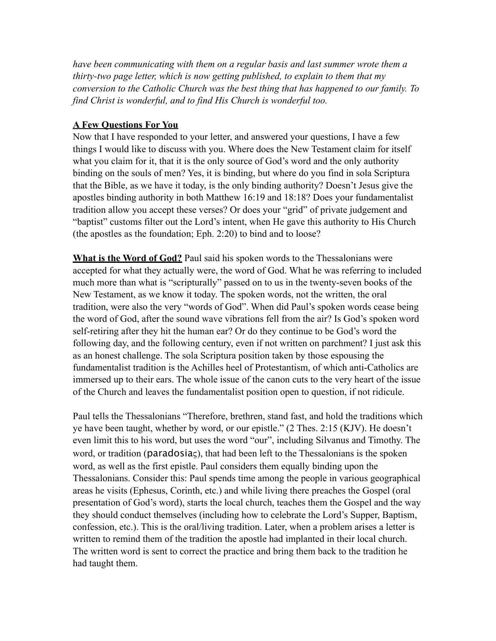*have been communicating with them on a regular basis and last summer wrote them a thirty-two page letter, which is now getting published, to explain to them that my conversion to the Catholic Church was the best thing that has happened to our family. To find Christ is wonderful, and to find His Church is wonderful too.*

### **A Few Questions For You**

Now that I have responded to your letter, and answered your questions, I have a few things I would like to discuss with you. Where does the New Testament claim for itself what you claim for it, that it is the only source of God's word and the only authority binding on the souls of men? Yes, it is binding, but where do you find in sola Scriptura that the Bible, as we have it today, is the only binding authority? Doesn't Jesus give the apostles binding authority in both Matthew 16:19 and 18:18? Does your fundamentalist tradition allow you accept these verses? Or does your "grid" of private judgement and "baptist" customs filter out the Lord's intent, when He gave this authority to His Church (the apostles as the foundation; Eph. 2:20) to bind and to loose?

**What is the Word of God?** Paul said his spoken words to the Thessalonians were accepted for what they actually were, the word of God. What he was referring to included much more than what is "scripturally" passed on to us in the twenty-seven books of the New Testament, as we know it today. The spoken words, not the written, the oral tradition, were also the very "words of God". When did Paul's spoken words cease being the word of God, after the sound wave vibrations fell from the air? Is God's spoken word self-retiring after they hit the human ear? Or do they continue to be God's word the following day, and the following century, even if not written on parchment? I just ask this as an honest challenge. The sola Scriptura position taken by those espousing the fundamentalist tradition is the Achilles heel of Protestantism, of which anti-Catholics are immersed up to their ears. The whole issue of the canon cuts to the very heart of the issue of the Church and leaves the fundamentalist position open to question, if not ridicule.

Paul tells the Thessalonians "Therefore, brethren, stand fast, and hold the traditions which ye have been taught, whether by word, or our epistle." (2 Thes. 2:15 (KJV). He doesn't even limit this to his word, but uses the word "our", including Silvanus and Timothy. The word, or tradition (paradosiaς), that had been left to the Thessalonians is the spoken word, as well as the first epistle. Paul considers them equally binding upon the Thessalonians. Consider this: Paul spends time among the people in various geographical areas he visits (Ephesus, Corinth, etc.) and while living there preaches the Gospel (oral presentation of God's word), starts the local church, teaches them the Gospel and the way they should conduct themselves (including how to celebrate the Lord's Supper, Baptism, confession, etc.). This is the oral/living tradition. Later, when a problem arises a letter is written to remind them of the tradition the apostle had implanted in their local church. The written word is sent to correct the practice and bring them back to the tradition he had taught them.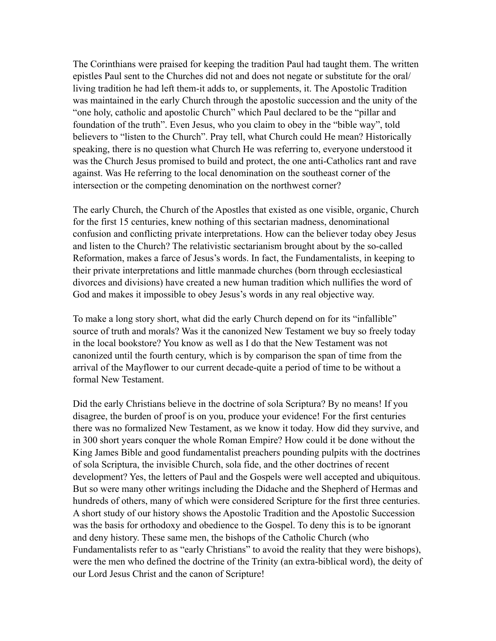The Corinthians were praised for keeping the tradition Paul had taught them. The written epistles Paul sent to the Churches did not and does not negate or substitute for the oral/ living tradition he had left them-it adds to, or supplements, it. The Apostolic Tradition was maintained in the early Church through the apostolic succession and the unity of the "one holy, catholic and apostolic Church" which Paul declared to be the "pillar and foundation of the truth". Even Jesus, who you claim to obey in the "bible way", told believers to "listen to the Church". Pray tell, what Church could He mean? Historically speaking, there is no question what Church He was referring to, everyone understood it was the Church Jesus promised to build and protect, the one anti-Catholics rant and rave against. Was He referring to the local denomination on the southeast corner of the intersection or the competing denomination on the northwest corner?

The early Church, the Church of the Apostles that existed as one visible, organic, Church for the first 15 centuries, knew nothing of this sectarian madness, denominational confusion and conflicting private interpretations. How can the believer today obey Jesus and listen to the Church? The relativistic sectarianism brought about by the so-called Reformation, makes a farce of Jesus's words. In fact, the Fundamentalists, in keeping to their private interpretations and little manmade churches (born through ecclesiastical divorces and divisions) have created a new human tradition which nullifies the word of God and makes it impossible to obey Jesus's words in any real objective way.

To make a long story short, what did the early Church depend on for its "infallible" source of truth and morals? Was it the canonized New Testament we buy so freely today in the local bookstore? You know as well as I do that the New Testament was not canonized until the fourth century, which is by comparison the span of time from the arrival of the Mayflower to our current decade-quite a period of time to be without a formal New Testament.

Did the early Christians believe in the doctrine of sola Scriptura? By no means! If you disagree, the burden of proof is on you, produce your evidence! For the first centuries there was no formalized New Testament, as we know it today. How did they survive, and in 300 short years conquer the whole Roman Empire? How could it be done without the King James Bible and good fundamentalist preachers pounding pulpits with the doctrines of sola Scriptura, the invisible Church, sola fide, and the other doctrines of recent development? Yes, the letters of Paul and the Gospels were well accepted and ubiquitous. But so were many other writings including the Didache and the Shepherd of Hermas and hundreds of others, many of which were considered Scripture for the first three centuries. A short study of our history shows the Apostolic Tradition and the Apostolic Succession was the basis for orthodoxy and obedience to the Gospel. To deny this is to be ignorant and deny history. These same men, the bishops of the Catholic Church (who Fundamentalists refer to as "early Christians" to avoid the reality that they were bishops), were the men who defined the doctrine of the Trinity (an extra-biblical word), the deity of our Lord Jesus Christ and the canon of Scripture!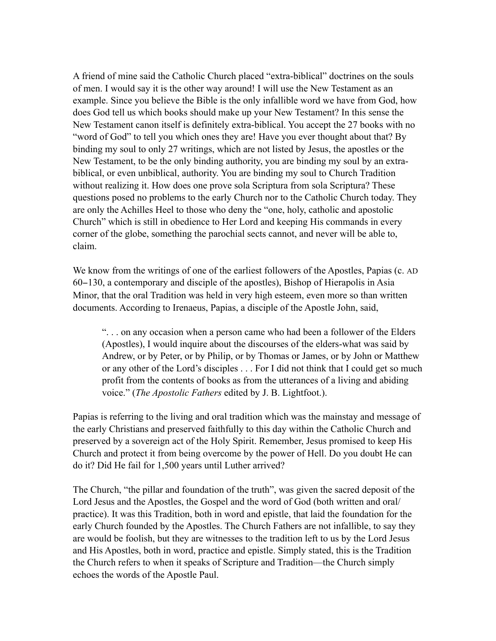A friend of mine said the Catholic Church placed "extra-biblical" doctrines on the souls of men. I would say it is the other way around! I will use the New Testament as an example. Since you believe the Bible is the only infallible word we have from God, how does God tell us which books should make up your New Testament? In this sense the New Testament canon itself is definitely extra-biblical. You accept the 27 books with no "word of God" to tell you which ones they are! Have you ever thought about that? By binding my soul to only 27 writings, which are not listed by Jesus, the apostles or the New Testament, to be the only binding authority, you are binding my soul by an extrabiblical, or even unbiblical, authority. You are binding my soul to Church Tradition without realizing it. How does one prove sola Scriptura from sola Scriptura? These questions posed no problems to the early Church nor to the Catholic Church today. They are only the Achilles Heel to those who deny the "one, holy, catholic and apostolic Church" which is still in obedience to Her Lord and keeping His commands in every corner of the globe, something the parochial sects cannot, and never will be able to, claim.

We know from the writings of one of the earliest followers of the Apostles, Papias (c. AD 60−130, a contemporary and disciple of the apostles), Bishop of Hierapolis in Asia Minor, that the oral Tradition was held in very high esteem, even more so than written documents. According to Irenaeus, Papias, a disciple of the Apostle John, said,

". . . on any occasion when a person came who had been a follower of the Elders (Apostles), I would inquire about the discourses of the elders-what was said by Andrew, or by Peter, or by Philip, or by Thomas or James, or by John or Matthew or any other of the Lord's disciples . . . For I did not think that I could get so much profit from the contents of books as from the utterances of a living and abiding voice." (*The Apostolic Fathers* edited by J. B. Lightfoot.).

Papias is referring to the living and oral tradition which was the mainstay and message of the early Christians and preserved faithfully to this day within the Catholic Church and preserved by a sovereign act of the Holy Spirit. Remember, Jesus promised to keep His Church and protect it from being overcome by the power of Hell. Do you doubt He can do it? Did He fail for 1,500 years until Luther arrived?

The Church, "the pillar and foundation of the truth", was given the sacred deposit of the Lord Jesus and the Apostles, the Gospel and the word of God (both written and oral/ practice). It was this Tradition, both in word and epistle, that laid the foundation for the early Church founded by the Apostles. The Church Fathers are not infallible, to say they are would be foolish, but they are witnesses to the tradition left to us by the Lord Jesus and His Apostles, both in word, practice and epistle. Simply stated, this is the Tradition the Church refers to when it speaks of Scripture and Tradition—the Church simply echoes the words of the Apostle Paul.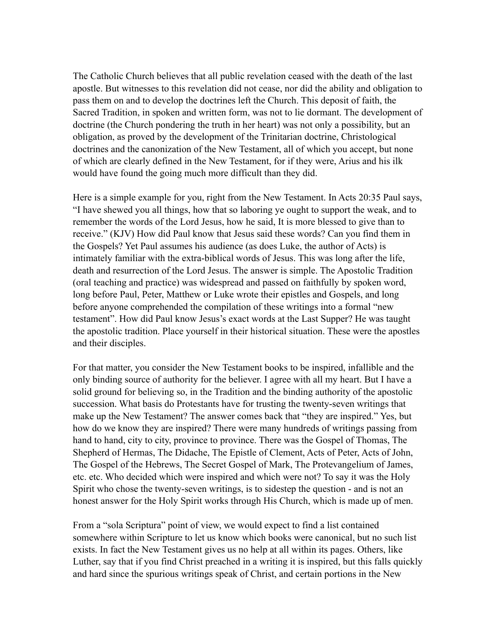The Catholic Church believes that all public revelation ceased with the death of the last apostle. But witnesses to this revelation did not cease, nor did the ability and obligation to pass them on and to develop the doctrines left the Church. This deposit of faith, the Sacred Tradition, in spoken and written form, was not to lie dormant. The development of doctrine (the Church pondering the truth in her heart) was not only a possibility, but an obligation, as proved by the development of the Trinitarian doctrine, Christological doctrines and the canonization of the New Testament, all of which you accept, but none of which are clearly defined in the New Testament, for if they were, Arius and his ilk would have found the going much more difficult than they did.

Here is a simple example for you, right from the New Testament. In Acts 20:35 Paul says, "I have shewed you all things, how that so laboring ye ought to support the weak, and to remember the words of the Lord Jesus, how he said, It is more blessed to give than to receive." (KJV) How did Paul know that Jesus said these words? Can you find them in the Gospels? Yet Paul assumes his audience (as does Luke, the author of Acts) is intimately familiar with the extra-biblical words of Jesus. This was long after the life, death and resurrection of the Lord Jesus. The answer is simple. The Apostolic Tradition (oral teaching and practice) was widespread and passed on faithfully by spoken word, long before Paul, Peter, Matthew or Luke wrote their epistles and Gospels, and long before anyone comprehended the compilation of these writings into a formal "new testament". How did Paul know Jesus's exact words at the Last Supper? He was taught the apostolic tradition. Place yourself in their historical situation. These were the apostles and their disciples.

For that matter, you consider the New Testament books to be inspired, infallible and the only binding source of authority for the believer. I agree with all my heart. But I have a solid ground for believing so, in the Tradition and the binding authority of the apostolic succession. What basis do Protestants have for trusting the twenty-seven writings that make up the New Testament? The answer comes back that "they are inspired." Yes, but how do we know they are inspired? There were many hundreds of writings passing from hand to hand, city to city, province to province. There was the Gospel of Thomas, The Shepherd of Hermas, The Didache, The Epistle of Clement, Acts of Peter, Acts of John, The Gospel of the Hebrews, The Secret Gospel of Mark, The Protevangelium of James, etc. etc. Who decided which were inspired and which were not? To say it was the Holy Spirit who chose the twenty-seven writings, is to sidestep the question - and is not an honest answer for the Holy Spirit works through His Church, which is made up of men.

From a "sola Scriptura" point of view, we would expect to find a list contained somewhere within Scripture to let us know which books were canonical, but no such list exists. In fact the New Testament gives us no help at all within its pages. Others, like Luther, say that if you find Christ preached in a writing it is inspired, but this falls quickly and hard since the spurious writings speak of Christ, and certain portions in the New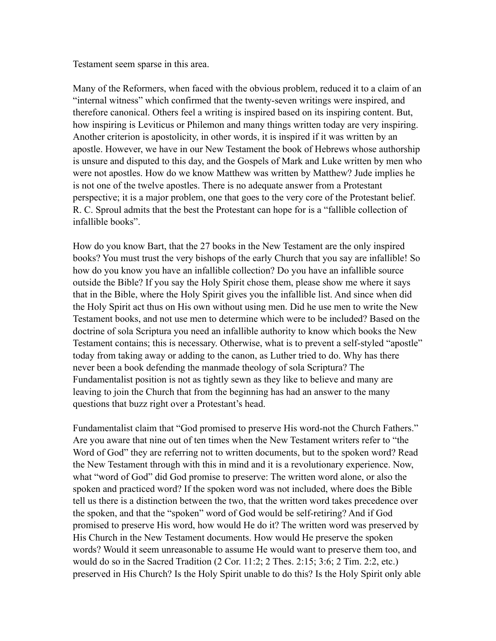Testament seem sparse in this area.

Many of the Reformers, when faced with the obvious problem, reduced it to a claim of an "internal witness" which confirmed that the twenty-seven writings were inspired, and therefore canonical. Others feel a writing is inspired based on its inspiring content. But, how inspiring is Leviticus or Philemon and many things written today are very inspiring. Another criterion is apostolicity, in other words, it is inspired if it was written by an apostle. However, we have in our New Testament the book of Hebrews whose authorship is unsure and disputed to this day, and the Gospels of Mark and Luke written by men who were not apostles. How do we know Matthew was written by Matthew? Jude implies he is not one of the twelve apostles. There is no adequate answer from a Protestant perspective; it is a major problem, one that goes to the very core of the Protestant belief. R. C. Sproul admits that the best the Protestant can hope for is a "fallible collection of infallible books".

How do you know Bart, that the 27 books in the New Testament are the only inspired books? You must trust the very bishops of the early Church that you say are infallible! So how do you know you have an infallible collection? Do you have an infallible source outside the Bible? If you say the Holy Spirit chose them, please show me where it says that in the Bible, where the Holy Spirit gives you the infallible list. And since when did the Holy Spirit act thus on His own without using men. Did he use men to write the New Testament books, and not use men to determine which were to be included? Based on the doctrine of sola Scriptura you need an infallible authority to know which books the New Testament contains; this is necessary. Otherwise, what is to prevent a self-styled "apostle" today from taking away or adding to the canon, as Luther tried to do. Why has there never been a book defending the manmade theology of sola Scriptura? The Fundamentalist position is not as tightly sewn as they like to believe and many are leaving to join the Church that from the beginning has had an answer to the many questions that buzz right over a Protestant's head.

Fundamentalist claim that "God promised to preserve His word-not the Church Fathers." Are you aware that nine out of ten times when the New Testament writers refer to "the Word of God" they are referring not to written documents, but to the spoken word? Read the New Testament through with this in mind and it is a revolutionary experience. Now, what "word of God" did God promise to preserve: The written word alone, or also the spoken and practiced word? If the spoken word was not included, where does the Bible tell us there is a distinction between the two, that the written word takes precedence over the spoken, and that the "spoken" word of God would be self-retiring? And if God promised to preserve His word, how would He do it? The written word was preserved by His Church in the New Testament documents. How would He preserve the spoken words? Would it seem unreasonable to assume He would want to preserve them too, and would do so in the Sacred Tradition (2 Cor. 11:2; 2 Thes. 2:15; 3:6; 2 Tim. 2:2, etc.) preserved in His Church? Is the Holy Spirit unable to do this? Is the Holy Spirit only able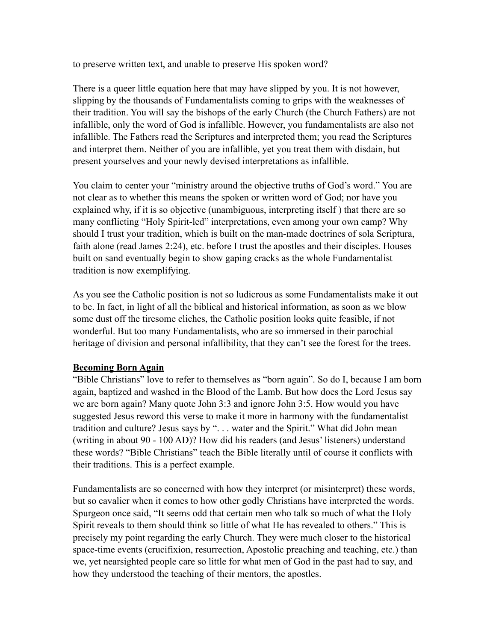to preserve written text, and unable to preserve His spoken word?

There is a queer little equation here that may have slipped by you. It is not however, slipping by the thousands of Fundamentalists coming to grips with the weaknesses of their tradition. You will say the bishops of the early Church (the Church Fathers) are not infallible, only the word of God is infallible. However, you fundamentalists are also not infallible. The Fathers read the Scriptures and interpreted them; you read the Scriptures and interpret them. Neither of you are infallible, yet you treat them with disdain, but present yourselves and your newly devised interpretations as infallible.

You claim to center your "ministry around the objective truths of God's word." You are not clear as to whether this means the spoken or written word of God; nor have you explained why, if it is so objective (unambiguous, interpreting itself ) that there are so many conflicting "Holy Spirit-led" interpretations, even among your own camp? Why should I trust your tradition, which is built on the man-made doctrines of sola Scriptura, faith alone (read James 2:24), etc. before I trust the apostles and their disciples. Houses built on sand eventually begin to show gaping cracks as the whole Fundamentalist tradition is now exemplifying.

As you see the Catholic position is not so ludicrous as some Fundamentalists make it out to be. In fact, in light of all the biblical and historical information, as soon as we blow some dust off the tiresome cliches, the Catholic position looks quite feasible, if not wonderful. But too many Fundamentalists, who are so immersed in their parochial heritage of division and personal infallibility, that they can't see the forest for the trees.

## **Becoming Born Again**

"Bible Christians" love to refer to themselves as "born again". So do I, because I am born again, baptized and washed in the Blood of the Lamb. But how does the Lord Jesus say we are born again? Many quote John 3:3 and ignore John 3:5. How would you have suggested Jesus reword this verse to make it more in harmony with the fundamentalist tradition and culture? Jesus says by ". . . water and the Spirit." What did John mean (writing in about 90 - 100 AD)? How did his readers (and Jesus' listeners) understand these words? "Bible Christians" teach the Bible literally until of course it conflicts with their traditions. This is a perfect example.

Fundamentalists are so concerned with how they interpret (or misinterpret) these words, but so cavalier when it comes to how other godly Christians have interpreted the words. Spurgeon once said, "It seems odd that certain men who talk so much of what the Holy Spirit reveals to them should think so little of what He has revealed to others." This is precisely my point regarding the early Church. They were much closer to the historical space-time events (crucifixion, resurrection, Apostolic preaching and teaching, etc.) than we, yet nearsighted people care so little for what men of God in the past had to say, and how they understood the teaching of their mentors, the apostles.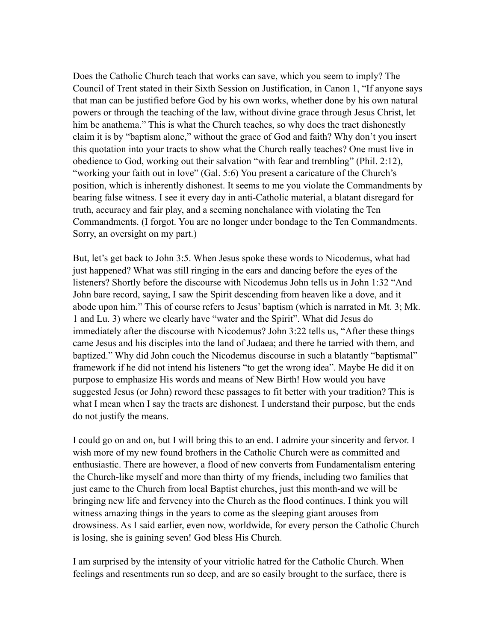Does the Catholic Church teach that works can save, which you seem to imply? The Council of Trent stated in their Sixth Session on Justification, in Canon 1, "If anyone says that man can be justified before God by his own works, whether done by his own natural powers or through the teaching of the law, without divine grace through Jesus Christ, let him be anathema." This is what the Church teaches, so why does the tract dishonestly claim it is by "baptism alone," without the grace of God and faith? Why don't you insert this quotation into your tracts to show what the Church really teaches? One must live in obedience to God, working out their salvation "with fear and trembling" (Phil. 2:12), "working your faith out in love" (Gal. 5:6) You present a caricature of the Church's position, which is inherently dishonest. It seems to me you violate the Commandments by bearing false witness. I see it every day in anti-Catholic material, a blatant disregard for truth, accuracy and fair play, and a seeming nonchalance with violating the Ten Commandments. (I forgot. You are no longer under bondage to the Ten Commandments. Sorry, an oversight on my part.)

But, let's get back to John 3:5. When Jesus spoke these words to Nicodemus, what had just happened? What was still ringing in the ears and dancing before the eyes of the listeners? Shortly before the discourse with Nicodemus John tells us in John 1:32 "And John bare record, saying, I saw the Spirit descending from heaven like a dove, and it abode upon him." This of course refers to Jesus' baptism (which is narrated in Mt. 3; Mk. 1 and Lu. 3) where we clearly have "water and the Spirit". What did Jesus do immediately after the discourse with Nicodemus? John 3:22 tells us, "After these things came Jesus and his disciples into the land of Judaea; and there he tarried with them, and baptized." Why did John couch the Nicodemus discourse in such a blatantly "baptismal" framework if he did not intend his listeners "to get the wrong idea". Maybe He did it on purpose to emphasize His words and means of New Birth! How would you have suggested Jesus (or John) reword these passages to fit better with your tradition? This is what I mean when I say the tracts are dishonest. I understand their purpose, but the ends do not justify the means.

I could go on and on, but I will bring this to an end. I admire your sincerity and fervor. I wish more of my new found brothers in the Catholic Church were as committed and enthusiastic. There are however, a flood of new converts from Fundamentalism entering the Church-like myself and more than thirty of my friends, including two families that just came to the Church from local Baptist churches, just this month-and we will be bringing new life and fervency into the Church as the flood continues. I think you will witness amazing things in the years to come as the sleeping giant arouses from drowsiness. As I said earlier, even now, worldwide, for every person the Catholic Church is losing, she is gaining seven! God bless His Church.

I am surprised by the intensity of your vitriolic hatred for the Catholic Church. When feelings and resentments run so deep, and are so easily brought to the surface, there is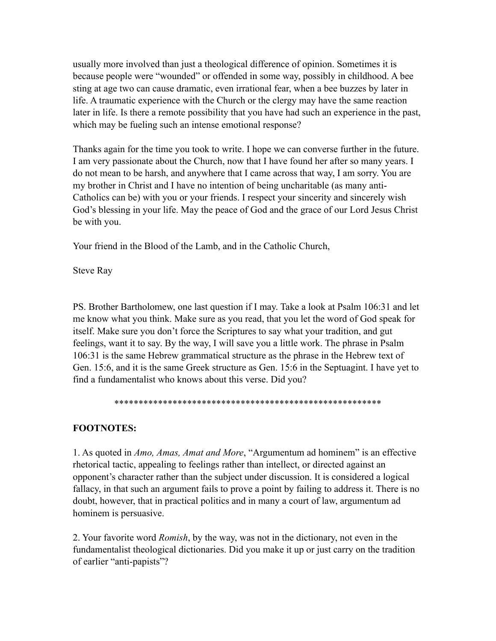usually more involved than just a theological difference of opinion. Sometimes it is because people were "wounded" or offended in some way, possibly in childhood. A bee sting at age two can cause dramatic, even irrational fear, when a bee buzzes by later in life. A traumatic experience with the Church or the clergy may have the same reaction later in life. Is there a remote possibility that you have had such an experience in the past, which may be fueling such an intense emotional response?

Thanks again for the time you took to write. I hope we can converse further in the future. I am very passionate about the Church, now that I have found her after so many years. I do not mean to be harsh, and anywhere that I came across that way, I am sorry. You are my brother in Christ and I have no intention of being uncharitable (as many anti-Catholics can be) with you or your friends. I respect your sincerity and sincerely wish God's blessing in your life. May the peace of God and the grace of our Lord Jesus Christ be with you.

Your friend in the Blood of the Lamb, and in the Catholic Church,

Steve Ray

PS. Brother Bartholomew, one last question if I may. Take a look at Psalm 106:31 and let me know what you think. Make sure as you read, that you let the word of God speak for itself. Make sure you don't force the Scriptures to say what your tradition, and gut feelings, want it to say. By the way, I will save you a little work. The phrase in Psalm 106:31 is the same Hebrew grammatical structure as the phrase in the Hebrew text of Gen. 15:6, and it is the same Greek structure as Gen. 15:6 in the Septuagint. I have yet to find a fundamentalist who knows about this verse. Did you?

```
*******************************************************
```
# **FOOTNOTES:**

1. As quoted in *Amo, Amas, Amat and More*, "Argumentum ad hominem" is an effective rhetorical tactic, appealing to feelings rather than intellect, or directed against an opponent's character rather than the subject under discussion. It is considered a logical fallacy, in that such an argument fails to prove a point by failing to address it. There is no doubt, however, that in practical politics and in many a court of law, argumentum ad hominem is persuasive.

2. Your favorite word *Romish*, by the way, was not in the dictionary, not even in the fundamentalist theological dictionaries. Did you make it up or just carry on the tradition of earlier "anti-papists"?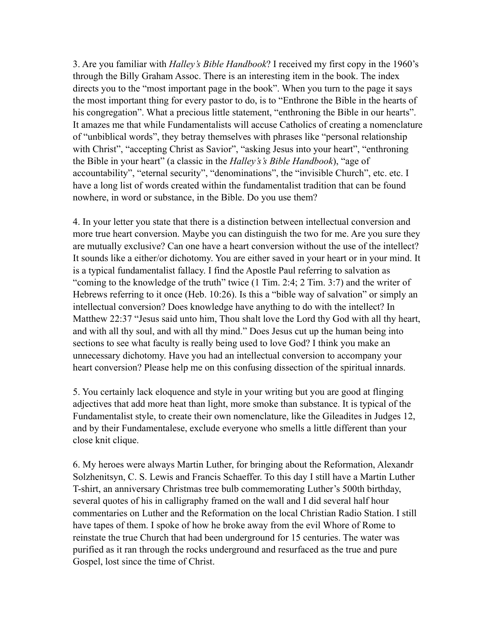3. Are you familiar with *Halley's Bible Handbook*? I received my first copy in the 1960's through the Billy Graham Assoc. There is an interesting item in the book. The index directs you to the "most important page in the book". When you turn to the page it says the most important thing for every pastor to do, is to "Enthrone the Bible in the hearts of his congregation". What a precious little statement, "enthroning the Bible in our hearts". It amazes me that while Fundamentalists will accuse Catholics of creating a nomenclature of "unbiblical words", they betray themselves with phrases like "personal relationship with Christ", "accepting Christ as Savior", "asking Jesus into your heart", "enthroning the Bible in your heart" (a classic in the *Halley's's Bible Handbook*), "age of accountability", "eternal security", "denominations", the "invisible Church", etc. etc. I have a long list of words created within the fundamentalist tradition that can be found nowhere, in word or substance, in the Bible. Do you use them?

4. In your letter you state that there is a distinction between intellectual conversion and more true heart conversion. Maybe you can distinguish the two for me. Are you sure they are mutually exclusive? Can one have a heart conversion without the use of the intellect? It sounds like a either/or dichotomy. You are either saved in your heart or in your mind. It is a typical fundamentalist fallacy. I find the Apostle Paul referring to salvation as "coming to the knowledge of the truth" twice (1 Tim. 2:4; 2 Tim. 3:7) and the writer of Hebrews referring to it once (Heb. 10:26). Is this a "bible way of salvation" or simply an intellectual conversion? Does knowledge have anything to do with the intellect? In Matthew 22:37 "Jesus said unto him, Thou shalt love the Lord thy God with all thy heart, and with all thy soul, and with all thy mind." Does Jesus cut up the human being into sections to see what faculty is really being used to love God? I think you make an unnecessary dichotomy. Have you had an intellectual conversion to accompany your heart conversion? Please help me on this confusing dissection of the spiritual innards.

5. You certainly lack eloquence and style in your writing but you are good at flinging adjectives that add more heat than light, more smoke than substance. It is typical of the Fundamentalist style, to create their own nomenclature, like the Gileadites in Judges 12, and by their Fundamentalese, exclude everyone who smells a little different than your close knit clique.

6. My heroes were always Martin Luther, for bringing about the Reformation, Alexandr Solzhenitsyn, C. S. Lewis and Francis Schaeffer. To this day I still have a Martin Luther T-shirt, an anniversary Christmas tree bulb commemorating Luther's 500th birthday, several quotes of his in calligraphy framed on the wall and I did several half hour commentaries on Luther and the Reformation on the local Christian Radio Station. I still have tapes of them. I spoke of how he broke away from the evil Whore of Rome to reinstate the true Church that had been underground for 15 centuries. The water was purified as it ran through the rocks underground and resurfaced as the true and pure Gospel, lost since the time of Christ.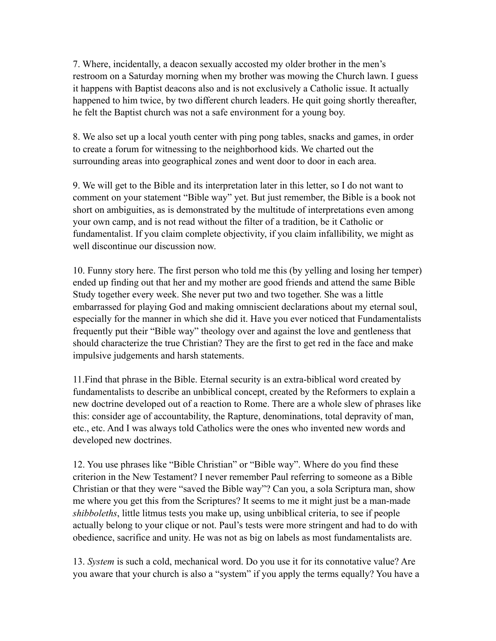7. Where, incidentally, a deacon sexually accosted my older brother in the men's restroom on a Saturday morning when my brother was mowing the Church lawn. I guess it happens with Baptist deacons also and is not exclusively a Catholic issue. It actually happened to him twice, by two different church leaders. He quit going shortly thereafter, he felt the Baptist church was not a safe environment for a young boy.

8. We also set up a local youth center with ping pong tables, snacks and games, in order to create a forum for witnessing to the neighborhood kids. We charted out the surrounding areas into geographical zones and went door to door in each area.

9. We will get to the Bible and its interpretation later in this letter, so I do not want to comment on your statement "Bible way" yet. But just remember, the Bible is a book not short on ambiguities, as is demonstrated by the multitude of interpretations even among your own camp, and is not read without the filter of a tradition, be it Catholic or fundamentalist. If you claim complete objectivity, if you claim infallibility, we might as well discontinue our discussion now.

10. Funny story here. The first person who told me this (by yelling and losing her temper) ended up finding out that her and my mother are good friends and attend the same Bible Study together every week. She never put two and two together. She was a little embarrassed for playing God and making omniscient declarations about my eternal soul, especially for the manner in which she did it. Have you ever noticed that Fundamentalists frequently put their "Bible way" theology over and against the love and gentleness that should characterize the true Christian? They are the first to get red in the face and make impulsive judgements and harsh statements.

11.Find that phrase in the Bible. Eternal security is an extra-biblical word created by fundamentalists to describe an unbiblical concept, created by the Reformers to explain a new doctrine developed out of a reaction to Rome. There are a whole slew of phrases like this: consider age of accountability, the Rapture, denominations, total depravity of man, etc., etc. And I was always told Catholics were the ones who invented new words and developed new doctrines.

12. You use phrases like "Bible Christian" or "Bible way". Where do you find these criterion in the New Testament? I never remember Paul referring to someone as a Bible Christian or that they were "saved the Bible way"? Can you, a sola Scriptura man, show me where you get this from the Scriptures? It seems to me it might just be a man-made *shibboleths*, little litmus tests you make up, using unbiblical criteria, to see if people actually belong to your clique or not. Paul's tests were more stringent and had to do with obedience, sacrifice and unity. He was not as big on labels as most fundamentalists are.

13. *System* is such a cold, mechanical word. Do you use it for its connotative value? Are you aware that your church is also a "system" if you apply the terms equally? You have a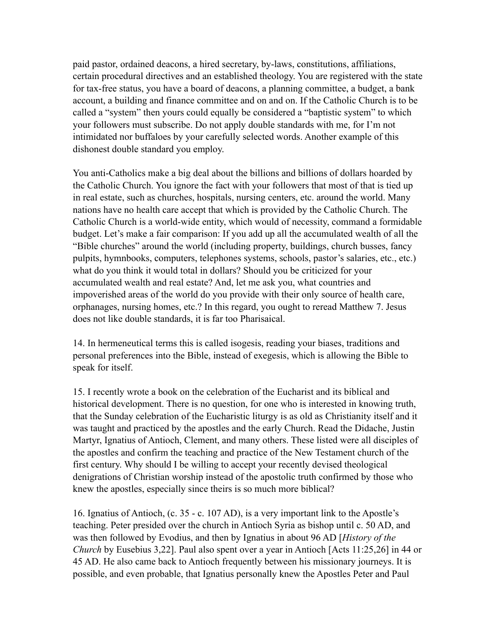paid pastor, ordained deacons, a hired secretary, by-laws, constitutions, affiliations, certain procedural directives and an established theology. You are registered with the state for tax-free status, you have a board of deacons, a planning committee, a budget, a bank account, a building and finance committee and on and on. If the Catholic Church is to be called a "system" then yours could equally be considered a "baptistic system" to which your followers must subscribe. Do not apply double standards with me, for I'm not intimidated nor buffaloes by your carefully selected words. Another example of this dishonest double standard you employ.

You anti-Catholics make a big deal about the billions and billions of dollars hoarded by the Catholic Church. You ignore the fact with your followers that most of that is tied up in real estate, such as churches, hospitals, nursing centers, etc. around the world. Many nations have no health care accept that which is provided by the Catholic Church. The Catholic Church is a world-wide entity, which would of necessity, command a formidable budget. Let's make a fair comparison: If you add up all the accumulated wealth of all the "Bible churches" around the world (including property, buildings, church busses, fancy pulpits, hymnbooks, computers, telephones systems, schools, pastor's salaries, etc., etc.) what do you think it would total in dollars? Should you be criticized for your accumulated wealth and real estate? And, let me ask you, what countries and impoverished areas of the world do you provide with their only source of health care, orphanages, nursing homes, etc.? In this regard, you ought to reread Matthew 7. Jesus does not like double standards, it is far too Pharisaical.

14. In hermeneutical terms this is called isogesis, reading your biases, traditions and personal preferences into the Bible, instead of exegesis, which is allowing the Bible to speak for itself.

15. I recently wrote a book on the celebration of the Eucharist and its biblical and historical development. There is no question, for one who is interested in knowing truth, that the Sunday celebration of the Eucharistic liturgy is as old as Christianity itself and it was taught and practiced by the apostles and the early Church. Read the Didache, Justin Martyr, Ignatius of Antioch, Clement, and many others. These listed were all disciples of the apostles and confirm the teaching and practice of the New Testament church of the first century. Why should I be willing to accept your recently devised theological denigrations of Christian worship instead of the apostolic truth confirmed by those who knew the apostles, especially since theirs is so much more biblical?

16. Ignatius of Antioch, (c. 35 - c. 107 AD), is a very important link to the Apostle's teaching. Peter presided over the church in Antioch Syria as bishop until c. 50 AD, and was then followed by Evodius, and then by Ignatius in about 96 AD [*History of the Church* by Eusebius 3,22]. Paul also spent over a year in Antioch [Acts 11:25,26] in 44 or 45 AD. He also came back to Antioch frequently between his missionary journeys. It is possible, and even probable, that Ignatius personally knew the Apostles Peter and Paul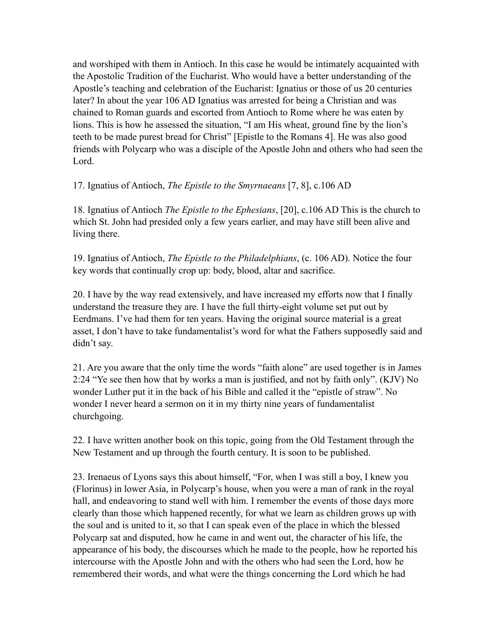and worshiped with them in Antioch. In this case he would be intimately acquainted with the Apostolic Tradition of the Eucharist. Who would have a better understanding of the Apostle's teaching and celebration of the Eucharist: Ignatius or those of us 20 centuries later? In about the year 106 AD Ignatius was arrested for being a Christian and was chained to Roman guards and escorted from Antioch to Rome where he was eaten by lions. This is how he assessed the situation, "I am His wheat, ground fine by the lion's teeth to be made purest bread for Christ" [Epistle to the Romans 4]. He was also good friends with Polycarp who was a disciple of the Apostle John and others who had seen the Lord.

17. Ignatius of Antioch, *The Epistle to the Smyrnaeans* [7, 8], c.106 AD

18. Ignatius of Antioch *The Epistle to the Ephesians*, [20], c.106 AD This is the church to which St. John had presided only a few years earlier, and may have still been alive and living there.

19. Ignatius of Antioch, *The Epistle to the Philadelphians*, (c. 106 AD). Notice the four key words that continually crop up: body, blood, altar and sacrifice.

20. I have by the way read extensively, and have increased my efforts now that I finally understand the treasure they are. I have the full thirty-eight volume set put out by Eerdmans. I've had them for ten years. Having the original source material is a great asset, I don't have to take fundamentalist's word for what the Fathers supposedly said and didn't say.

21. Are you aware that the only time the words "faith alone" are used together is in James 2:24 "Ye see then how that by works a man is justified, and not by faith only". (KJV) No wonder Luther put it in the back of his Bible and called it the "epistle of straw". No wonder I never heard a sermon on it in my thirty nine years of fundamentalist churchgoing.

22. I have written another book on this topic, going from the Old Testament through the New Testament and up through the fourth century. It is soon to be published.

23. Irenaeus of Lyons says this about himself, "For, when I was still a boy, I knew you (Florinus) in lower Asia, in Polycarp's house, when you were a man of rank in the royal hall, and endeavoring to stand well with him. I remember the events of those days more clearly than those which happened recently, for what we learn as children grows up with the soul and is united to it, so that I can speak even of the place in which the blessed Polycarp sat and disputed, how he came in and went out, the character of his life, the appearance of his body, the discourses which he made to the people, how he reported his intercourse with the Apostle John and with the others who had seen the Lord, how he remembered their words, and what were the things concerning the Lord which he had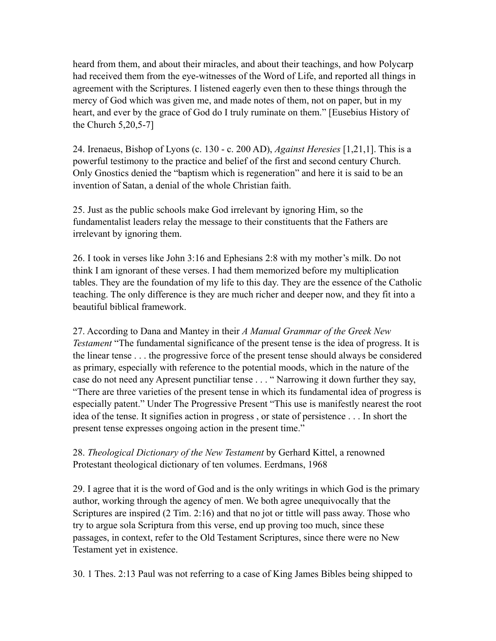heard from them, and about their miracles, and about their teachings, and how Polycarp had received them from the eye-witnesses of the Word of Life, and reported all things in agreement with the Scriptures. I listened eagerly even then to these things through the mercy of God which was given me, and made notes of them, not on paper, but in my heart, and ever by the grace of God do I truly ruminate on them." [Eusebius History of the Church 5,20,5-7]

24. Irenaeus, Bishop of Lyons (c. 130 - c. 200 AD), *Against Heresies* [1,21,1]. This is a powerful testimony to the practice and belief of the first and second century Church. Only Gnostics denied the "baptism which is regeneration" and here it is said to be an invention of Satan, a denial of the whole Christian faith.

25. Just as the public schools make God irrelevant by ignoring Him, so the fundamentalist leaders relay the message to their constituents that the Fathers are irrelevant by ignoring them.

26. I took in verses like John 3:16 and Ephesians 2:8 with my mother's milk. Do not think I am ignorant of these verses. I had them memorized before my multiplication tables. They are the foundation of my life to this day. They are the essence of the Catholic teaching. The only difference is they are much richer and deeper now, and they fit into a beautiful biblical framework.

27. According to Dana and Mantey in their *A Manual Grammar of the Greek New Testament* "The fundamental significance of the present tense is the idea of progress. It is the linear tense . . . the progressive force of the present tense should always be considered as primary, especially with reference to the potential moods, which in the nature of the case do not need any Apresent punctiliar tense . . . " Narrowing it down further they say, "There are three varieties of the present tense in which its fundamental idea of progress is especially patent." Under The Progressive Present "This use is manifestly nearest the root idea of the tense. It signifies action in progress , or state of persistence . . . In short the present tense expresses ongoing action in the present time."

28. *Theological Dictionary of the New Testament* by Gerhard Kittel, a renowned Protestant theological dictionary of ten volumes. Eerdmans, 1968

29. I agree that it is the word of God and is the only writings in which God is the primary author, working through the agency of men. We both agree unequivocally that the Scriptures are inspired (2 Tim. 2:16) and that no jot or tittle will pass away. Those who try to argue sola Scriptura from this verse, end up proving too much, since these passages, in context, refer to the Old Testament Scriptures, since there were no New Testament yet in existence.

30. 1 Thes. 2:13 Paul was not referring to a case of King James Bibles being shipped to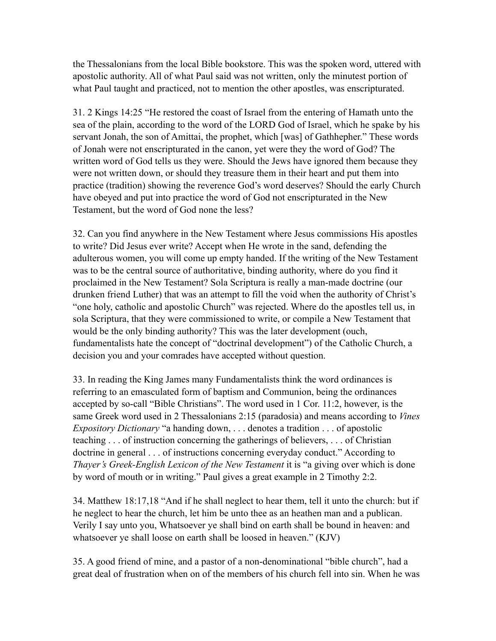the Thessalonians from the local Bible bookstore. This was the spoken word, uttered with apostolic authority. All of what Paul said was not written, only the minutest portion of what Paul taught and practiced, not to mention the other apostles, was enscripturated.

31. 2 Kings 14:25 "He restored the coast of Israel from the entering of Hamath unto the sea of the plain, according to the word of the LORD God of Israel, which he spake by his servant Jonah, the son of Amittai, the prophet, which [was] of Gathhepher." These words of Jonah were not enscripturated in the canon, yet were they the word of God? The written word of God tells us they were. Should the Jews have ignored them because they were not written down, or should they treasure them in their heart and put them into practice (tradition) showing the reverence God's word deserves? Should the early Church have obeyed and put into practice the word of God not enscripturated in the New Testament, but the word of God none the less?

32. Can you find anywhere in the New Testament where Jesus commissions His apostles to write? Did Jesus ever write? Accept when He wrote in the sand, defending the adulterous women, you will come up empty handed. If the writing of the New Testament was to be the central source of authoritative, binding authority, where do you find it proclaimed in the New Testament? Sola Scriptura is really a man-made doctrine (our drunken friend Luther) that was an attempt to fill the void when the authority of Christ's "one holy, catholic and apostolic Church" was rejected. Where do the apostles tell us, in sola Scriptura, that they were commissioned to write, or compile a New Testament that would be the only binding authority? This was the later development (ouch, fundamentalists hate the concept of "doctrinal development") of the Catholic Church, a decision you and your comrades have accepted without question.

33. In reading the King James many Fundamentalists think the word ordinances is referring to an emasculated form of baptism and Communion, being the ordinances accepted by so-call "Bible Christians". The word used in 1 Cor. 11:2, however, is the same Greek word used in 2 Thessalonians 2:15 (paradosia) and means according to *Vines Expository Dictionary* "a handing down, . . . denotes a tradition . . . of apostolic teaching . . . of instruction concerning the gatherings of believers, . . . of Christian doctrine in general . . . of instructions concerning everyday conduct." According to *Thayer's Greek-English Lexicon of the New Testament* it is "a giving over which is done by word of mouth or in writing." Paul gives a great example in 2 Timothy 2:2.

34. Matthew 18:17,18 "And if he shall neglect to hear them, tell it unto the church: but if he neglect to hear the church, let him be unto thee as an heathen man and a publican. Verily I say unto you, Whatsoever ye shall bind on earth shall be bound in heaven: and whatsoever ye shall loose on earth shall be loosed in heaven." (KJV)

35. A good friend of mine, and a pastor of a non-denominational "bible church", had a great deal of frustration when on of the members of his church fell into sin. When he was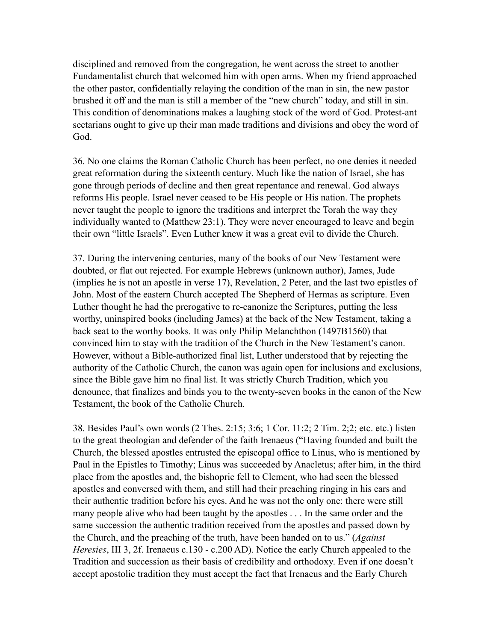disciplined and removed from the congregation, he went across the street to another Fundamentalist church that welcomed him with open arms. When my friend approached the other pastor, confidentially relaying the condition of the man in sin, the new pastor brushed it off and the man is still a member of the "new church" today, and still in sin. This condition of denominations makes a laughing stock of the word of God. Protest-ant sectarians ought to give up their man made traditions and divisions and obey the word of God.

36. No one claims the Roman Catholic Church has been perfect, no one denies it needed great reformation during the sixteenth century. Much like the nation of Israel, she has gone through periods of decline and then great repentance and renewal. God always reforms His people. Israel never ceased to be His people or His nation. The prophets never taught the people to ignore the traditions and interpret the Torah the way they individually wanted to (Matthew 23:1). They were never encouraged to leave and begin their own "little Israels". Even Luther knew it was a great evil to divide the Church.

37. During the intervening centuries, many of the books of our New Testament were doubted, or flat out rejected. For example Hebrews (unknown author), James, Jude (implies he is not an apostle in verse 17), Revelation, 2 Peter, and the last two epistles of John. Most of the eastern Church accepted The Shepherd of Hermas as scripture. Even Luther thought he had the prerogative to re-canonize the Scriptures, putting the less worthy, uninspired books (including James) at the back of the New Testament, taking a back seat to the worthy books. It was only Philip Melanchthon (1497B1560) that convinced him to stay with the tradition of the Church in the New Testament's canon. However, without a Bible-authorized final list, Luther understood that by rejecting the authority of the Catholic Church, the canon was again open for inclusions and exclusions, since the Bible gave him no final list. It was strictly Church Tradition, which you denounce, that finalizes and binds you to the twenty-seven books in the canon of the New Testament, the book of the Catholic Church.

38. Besides Paul's own words (2 Thes. 2:15; 3:6; 1 Cor. 11:2; 2 Tim. 2;2; etc. etc.) listen to the great theologian and defender of the faith Irenaeus ("Having founded and built the Church, the blessed apostles entrusted the episcopal office to Linus, who is mentioned by Paul in the Epistles to Timothy; Linus was succeeded by Anacletus; after him, in the third place from the apostles and, the bishopric fell to Clement, who had seen the blessed apostles and conversed with them, and still had their preaching ringing in his ears and their authentic tradition before his eyes. And he was not the only one: there were still many people alive who had been taught by the apostles . . . In the same order and the same succession the authentic tradition received from the apostles and passed down by the Church, and the preaching of the truth, have been handed on to us." (*Against Heresies*, III 3, 2f. Irenaeus c.130 - c.200 AD). Notice the early Church appealed to the Tradition and succession as their basis of credibility and orthodoxy. Even if one doesn't accept apostolic tradition they must accept the fact that Irenaeus and the Early Church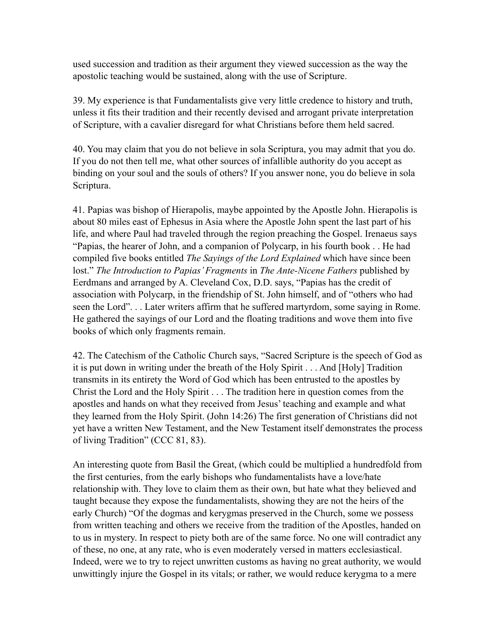used succession and tradition as their argument they viewed succession as the way the apostolic teaching would be sustained, along with the use of Scripture.

39. My experience is that Fundamentalists give very little credence to history and truth, unless it fits their tradition and their recently devised and arrogant private interpretation of Scripture, with a cavalier disregard for what Christians before them held sacred.

40. You may claim that you do not believe in sola Scriptura, you may admit that you do. If you do not then tell me, what other sources of infallible authority do you accept as binding on your soul and the souls of others? If you answer none, you do believe in sola Scriptura.

41. Papias was bishop of Hierapolis, maybe appointed by the Apostle John. Hierapolis is about 80 miles east of Ephesus in Asia where the Apostle John spent the last part of his life, and where Paul had traveled through the region preaching the Gospel. Irenaeus says "Papias, the hearer of John, and a companion of Polycarp, in his fourth book . . He had compiled five books entitled *The Sayings of the Lord Explained* which have since been lost." *The Introduction to Papias' Fragments* in *The Ante-Nicene Fathers* published by Eerdmans and arranged by A. Cleveland Cox, D.D. says, "Papias has the credit of association with Polycarp, in the friendship of St. John himself, and of "others who had seen the Lord". . . Later writers affirm that he suffered martyrdom, some saying in Rome. He gathered the sayings of our Lord and the floating traditions and wove them into five books of which only fragments remain.

42. The Catechism of the Catholic Church says, "Sacred Scripture is the speech of God as it is put down in writing under the breath of the Holy Spirit . . . And [Holy] Tradition transmits in its entirety the Word of God which has been entrusted to the apostles by Christ the Lord and the Holy Spirit . . . The tradition here in question comes from the apostles and hands on what they received from Jesus' teaching and example and what they learned from the Holy Spirit. (John 14:26) The first generation of Christians did not yet have a written New Testament, and the New Testament itself demonstrates the process of living Tradition" (CCC 81, 83).

An interesting quote from Basil the Great, (which could be multiplied a hundredfold from the first centuries, from the early bishops who fundamentalists have a love/hate relationship with. They love to claim them as their own, but hate what they believed and taught because they expose the fundamentalists, showing they are not the heirs of the early Church) "Of the dogmas and kerygmas preserved in the Church, some we possess from written teaching and others we receive from the tradition of the Apostles, handed on to us in mystery. In respect to piety both are of the same force. No one will contradict any of these, no one, at any rate, who is even moderately versed in matters ecclesiastical. Indeed, were we to try to reject unwritten customs as having no great authority, we would unwittingly injure the Gospel in its vitals; or rather, we would reduce kerygma to a mere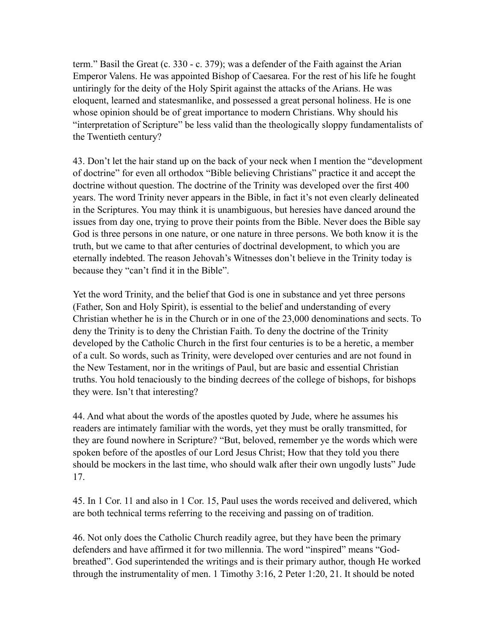term." Basil the Great (c. 330 - c. 379); was a defender of the Faith against the Arian Emperor Valens. He was appointed Bishop of Caesarea. For the rest of his life he fought untiringly for the deity of the Holy Spirit against the attacks of the Arians. He was eloquent, learned and statesmanlike, and possessed a great personal holiness. He is one whose opinion should be of great importance to modern Christians. Why should his "interpretation of Scripture" be less valid than the theologically sloppy fundamentalists of the Twentieth century?

43. Don't let the hair stand up on the back of your neck when I mention the "development of doctrine" for even all orthodox "Bible believing Christians" practice it and accept the doctrine without question. The doctrine of the Trinity was developed over the first 400 years. The word Trinity never appears in the Bible, in fact it's not even clearly delineated in the Scriptures. You may think it is unambiguous, but heresies have danced around the issues from day one, trying to prove their points from the Bible. Never does the Bible say God is three persons in one nature, or one nature in three persons. We both know it is the truth, but we came to that after centuries of doctrinal development, to which you are eternally indebted. The reason Jehovah's Witnesses don't believe in the Trinity today is because they "can't find it in the Bible".

Yet the word Trinity, and the belief that God is one in substance and yet three persons (Father, Son and Holy Spirit), is essential to the belief and understanding of every Christian whether he is in the Church or in one of the 23,000 denominations and sects. To deny the Trinity is to deny the Christian Faith. To deny the doctrine of the Trinity developed by the Catholic Church in the first four centuries is to be a heretic, a member of a cult. So words, such as Trinity, were developed over centuries and are not found in the New Testament, nor in the writings of Paul, but are basic and essential Christian truths. You hold tenaciously to the binding decrees of the college of bishops, for bishops they were. Isn't that interesting?

44. And what about the words of the apostles quoted by Jude, where he assumes his readers are intimately familiar with the words, yet they must be orally transmitted, for they are found nowhere in Scripture? "But, beloved, remember ye the words which were spoken before of the apostles of our Lord Jesus Christ; How that they told you there should be mockers in the last time, who should walk after their own ungodly lusts" Jude 17.

45. In 1 Cor. 11 and also in 1 Cor. 15, Paul uses the words received and delivered, which are both technical terms referring to the receiving and passing on of tradition.

46. Not only does the Catholic Church readily agree, but they have been the primary defenders and have affirmed it for two millennia. The word "inspired" means "Godbreathed". God superintended the writings and is their primary author, though He worked through the instrumentality of men. 1 Timothy 3:16, 2 Peter 1:20, 21. It should be noted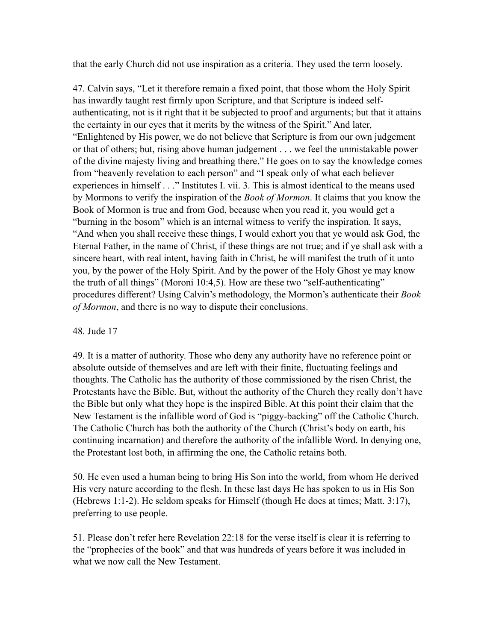that the early Church did not use inspiration as a criteria. They used the term loosely.

47. Calvin says, "Let it therefore remain a fixed point, that those whom the Holy Spirit has inwardly taught rest firmly upon Scripture, and that Scripture is indeed selfauthenticating, not is it right that it be subjected to proof and arguments; but that it attains the certainty in our eyes that it merits by the witness of the Spirit." And later, "Enlightened by His power, we do not believe that Scripture is from our own judgement or that of others; but, rising above human judgement . . . we feel the unmistakable power of the divine majesty living and breathing there." He goes on to say the knowledge comes from "heavenly revelation to each person" and "I speak only of what each believer experiences in himself . . ." Institutes I. vii. 3. This is almost identical to the means used by Mormons to verify the inspiration of the *Book of Mormon*. It claims that you know the Book of Mormon is true and from God, because when you read it, you would get a "burning in the bosom" which is an internal witness to verify the inspiration. It says, "And when you shall receive these things, I would exhort you that ye would ask God, the Eternal Father, in the name of Christ, if these things are not true; and if ye shall ask with a sincere heart, with real intent, having faith in Christ, he will manifest the truth of it unto you, by the power of the Holy Spirit. And by the power of the Holy Ghost ye may know the truth of all things" (Moroni 10:4,5). How are these two "self-authenticating" procedures different? Using Calvin's methodology, the Mormon's authenticate their *Book of Mormon*, and there is no way to dispute their conclusions.

#### 48. Jude 17

49. It is a matter of authority. Those who deny any authority have no reference point or absolute outside of themselves and are left with their finite, fluctuating feelings and thoughts. The Catholic has the authority of those commissioned by the risen Christ, the Protestants have the Bible. But, without the authority of the Church they really don't have the Bible but only what they hope is the inspired Bible. At this point their claim that the New Testament is the infallible word of God is "piggy-backing" off the Catholic Church. The Catholic Church has both the authority of the Church (Christ's body on earth, his continuing incarnation) and therefore the authority of the infallible Word. In denying one, the Protestant lost both, in affirming the one, the Catholic retains both.

50. He even used a human being to bring His Son into the world, from whom He derived His very nature according to the flesh. In these last days He has spoken to us in His Son (Hebrews 1:1-2). He seldom speaks for Himself (though He does at times; Matt. 3:17), preferring to use people.

51. Please don't refer here Revelation 22:18 for the verse itself is clear it is referring to the "prophecies of the book" and that was hundreds of years before it was included in what we now call the New Testament.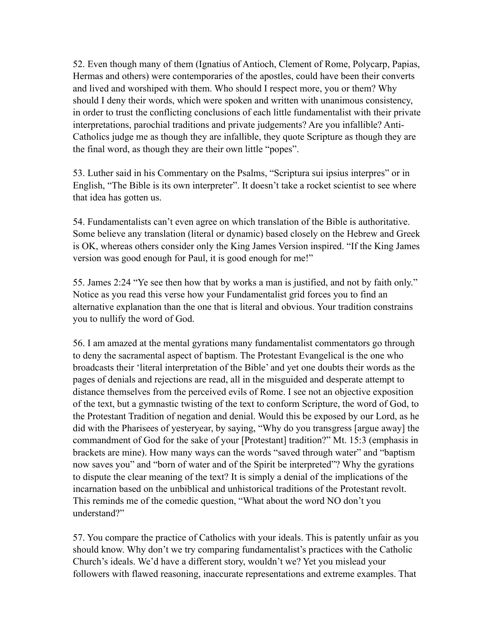52. Even though many of them (Ignatius of Antioch, Clement of Rome, Polycarp, Papias, Hermas and others) were contemporaries of the apostles, could have been their converts and lived and worshiped with them. Who should I respect more, you or them? Why should I deny their words, which were spoken and written with unanimous consistency, in order to trust the conflicting conclusions of each little fundamentalist with their private interpretations, parochial traditions and private judgements? Are you infallible? Anti-Catholics judge me as though they are infallible, they quote Scripture as though they are the final word, as though they are their own little "popes".

53. Luther said in his Commentary on the Psalms, "Scriptura sui ipsius interpres" or in English, "The Bible is its own interpreter". It doesn't take a rocket scientist to see where that idea has gotten us.

54. Fundamentalists can't even agree on which translation of the Bible is authoritative. Some believe any translation (literal or dynamic) based closely on the Hebrew and Greek is OK, whereas others consider only the King James Version inspired. "If the King James version was good enough for Paul, it is good enough for me!"

55. James 2:24 "Ye see then how that by works a man is justified, and not by faith only." Notice as you read this verse how your Fundamentalist grid forces you to find an alternative explanation than the one that is literal and obvious. Your tradition constrains you to nullify the word of God.

56. I am amazed at the mental gyrations many fundamentalist commentators go through to deny the sacramental aspect of baptism. The Protestant Evangelical is the one who broadcasts their 'literal interpretation of the Bible' and yet one doubts their words as the pages of denials and rejections are read, all in the misguided and desperate attempt to distance themselves from the perceived evils of Rome. I see not an objective exposition of the text, but a gymnastic twisting of the text to conform Scripture, the word of God, to the Protestant Tradition of negation and denial. Would this be exposed by our Lord, as he did with the Pharisees of yesteryear, by saying, "Why do you transgress [argue away] the commandment of God for the sake of your [Protestant] tradition?" Mt. 15:3 (emphasis in brackets are mine). How many ways can the words "saved through water" and "baptism now saves you" and "born of water and of the Spirit be interpreted"? Why the gyrations to dispute the clear meaning of the text? It is simply a denial of the implications of the incarnation based on the unbiblical and unhistorical traditions of the Protestant revolt. This reminds me of the comedic question, "What about the word NO don't you understand?"

57. You compare the practice of Catholics with your ideals. This is patently unfair as you should know. Why don't we try comparing fundamentalist's practices with the Catholic Church's ideals. We'd have a different story, wouldn't we? Yet you mislead your followers with flawed reasoning, inaccurate representations and extreme examples. That